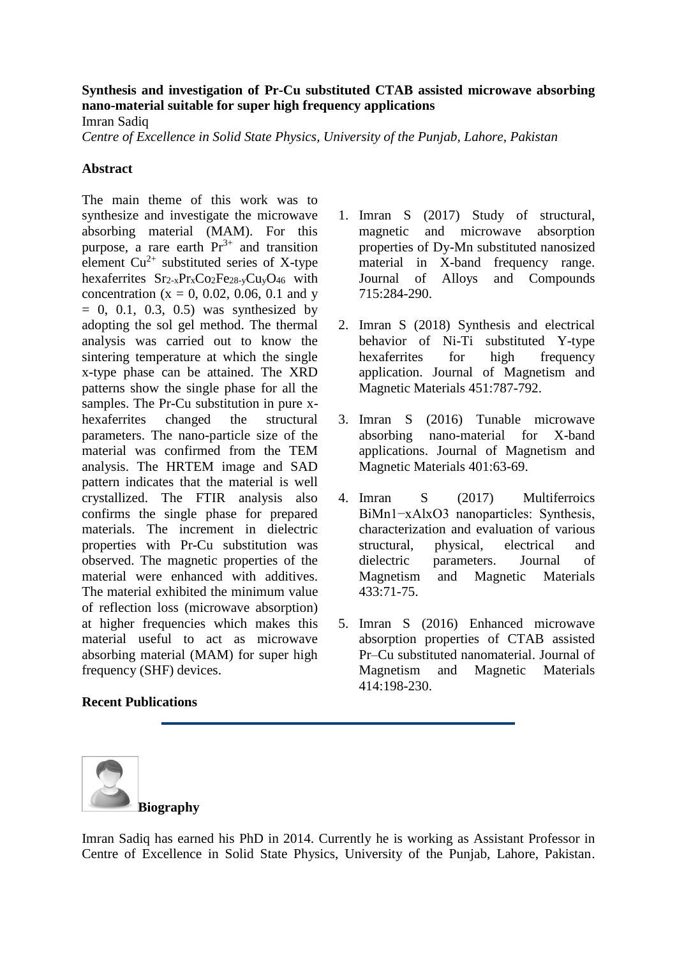## **Synthesis and investigation of Pr-Cu substituted CTAB assisted microwave absorbing nano-material suitable for super high frequency applications**

Imran Sadiq

*Centre of Excellence in Solid State Physics, University of the Punjab, Lahore, Pakistan* 

## **Abstract**

The main theme of this work was to synthesize and investigate the microwave absorbing material (MAM). For this purpose, a rare earth  $Pr<sup>3+</sup>$  and transition element  $Cu^{2+}$  substituted series of X-type hexaferrites  $Sr_{2-x}Pr_xCo_2Fe_{28-y}Cu_yO_{46}$  with concentration ( $x = 0, 0.02, 0.06, 0.1$  and y  $= 0, 0.1, 0.3, 0.5$  was synthesized by adopting the sol gel method. The thermal analysis was carried out to know the sintering temperature at which the single x-type phase can be attained. The XRD patterns show the single phase for all the samples. The Pr-Cu substitution in pure xhexaferrites changed the structural parameters. The nano-particle size of the material was confirmed from the TEM analysis. The HRTEM image and SAD pattern indicates that the material is well crystallized. The FTIR analysis also confirms the single phase for prepared materials. The increment in dielectric properties with Pr-Cu substitution was observed. The magnetic properties of the material were enhanced with additives. The material exhibited the minimum value of reflection loss (microwave absorption) at higher frequencies which makes this material useful to act as microwave absorbing material (MAM) for super high frequency (SHF) devices.

## **Recent Publications**

- 1. Imran S (2017) [Study of structural,](https://www.sciencedirect.com/science/article/pii/S0925838817308022)  [magnetic and microwave absorption](https://www.sciencedirect.com/science/article/pii/S0925838817308022)  [properties of Dy-Mn substituted nanosized](https://www.sciencedirect.com/science/article/pii/S0925838817308022)  [material in X-band frequency range.](https://www.sciencedirect.com/science/article/pii/S0925838817308022) Journal of Alloys and Compounds 715:284-290.
- 2. Imran S (2018) [Synthesis and electrical](https://www.sciencedirect.com/science/article/pii/S0304885317328251)  [behavior of Ni-Ti substituted Y-type](https://www.sciencedirect.com/science/article/pii/S0304885317328251)  hexaferrites for high frequency [application.](https://www.sciencedirect.com/science/article/pii/S0304885317328251) Journal of Magnetism and Magnetic Materials 451:787-792.
- 3. Imran S (2016) [Tunable microwave](https://www.sciencedirect.com/science/article/pii/S0304885315305813)  [absorbing nano-material for X-band](https://www.sciencedirect.com/science/article/pii/S0304885315305813)  [applications.](https://www.sciencedirect.com/science/article/pii/S0304885315305813) Journal of Magnetism and Magnetic Materials 401:63-69.
- 4. Imran S (2017) [Multiferroics](https://www.sciencedirect.com/science/article/pii/S0304885316330876)  [BiMn1−xAlxO3 nanoparticles: Synthesis,](https://www.sciencedirect.com/science/article/pii/S0304885316330876)  [characterization and evaluation of various](https://www.sciencedirect.com/science/article/pii/S0304885316330876)  [structural, physical, electrical and](https://www.sciencedirect.com/science/article/pii/S0304885316330876)  [dielectric parameters.](https://www.sciencedirect.com/science/article/pii/S0304885316330876) Journal of Magnetism and Magnetic Materials 433:71-75.
- 5. Imran S (2016) [Enhanced microwave](https://www.sciencedirect.com/science/article/pii/S0304885316303766)  [absorption properties of CTAB assisted](https://www.sciencedirect.com/science/article/pii/S0304885316303766)  [Pr–Cu substituted nanomaterial.](https://www.sciencedirect.com/science/article/pii/S0304885316303766) Journal of Magnetism and Magnetic Materials 414:198-230.



Imran Sadiq has earned his PhD in 2014. Currently he is working as Assistant Professor in Centre of Excellence in Solid State Physics, University of the Punjab, Lahore, Pakistan.